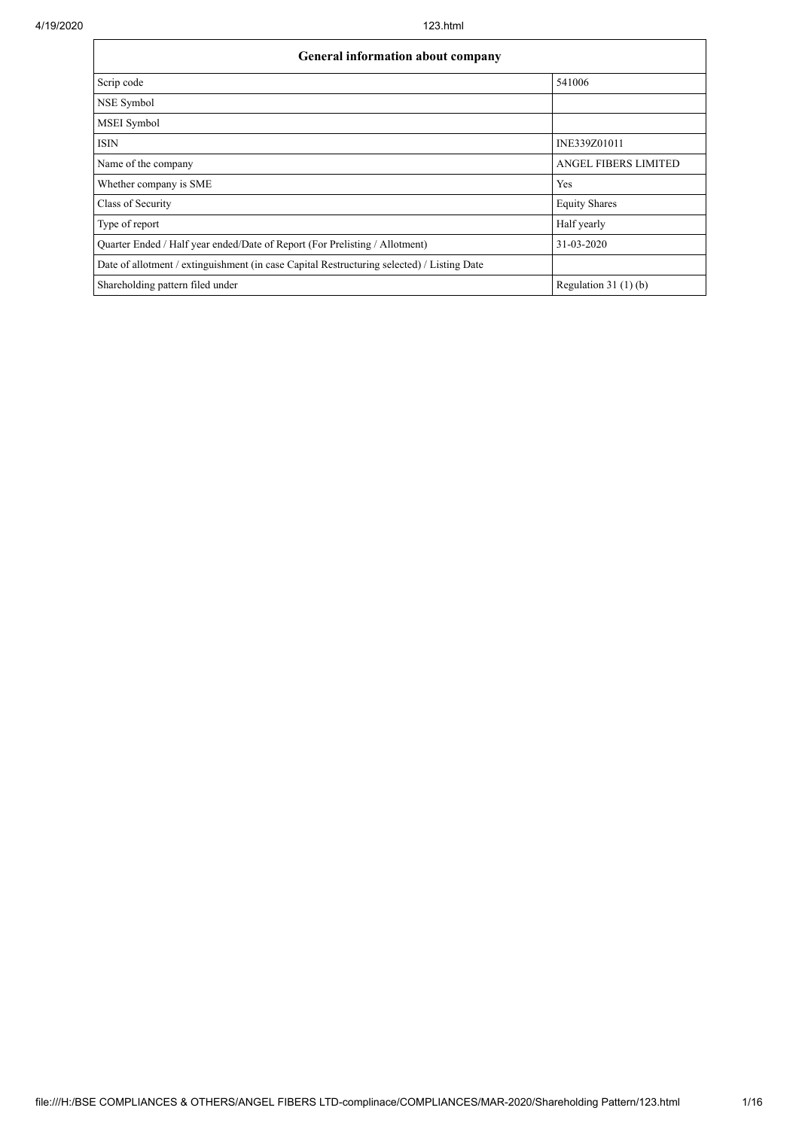| <b>General information about company</b>                                                   |                             |  |  |  |  |  |  |  |
|--------------------------------------------------------------------------------------------|-----------------------------|--|--|--|--|--|--|--|
| Scrip code                                                                                 | 541006                      |  |  |  |  |  |  |  |
| NSE Symbol                                                                                 |                             |  |  |  |  |  |  |  |
| <b>MSEI</b> Symbol                                                                         |                             |  |  |  |  |  |  |  |
| <b>ISIN</b>                                                                                | INE339Z01011                |  |  |  |  |  |  |  |
| Name of the company                                                                        | <b>ANGEL FIBERS LIMITED</b> |  |  |  |  |  |  |  |
| Whether company is SME                                                                     | Yes                         |  |  |  |  |  |  |  |
| Class of Security                                                                          | <b>Equity Shares</b>        |  |  |  |  |  |  |  |
| Type of report                                                                             | Half yearly                 |  |  |  |  |  |  |  |
| Quarter Ended / Half year ended/Date of Report (For Prelisting / Allotment)                | 31-03-2020                  |  |  |  |  |  |  |  |
| Date of allotment / extinguishment (in case Capital Restructuring selected) / Listing Date |                             |  |  |  |  |  |  |  |
| Shareholding pattern filed under                                                           | Regulation $31(1)(b)$       |  |  |  |  |  |  |  |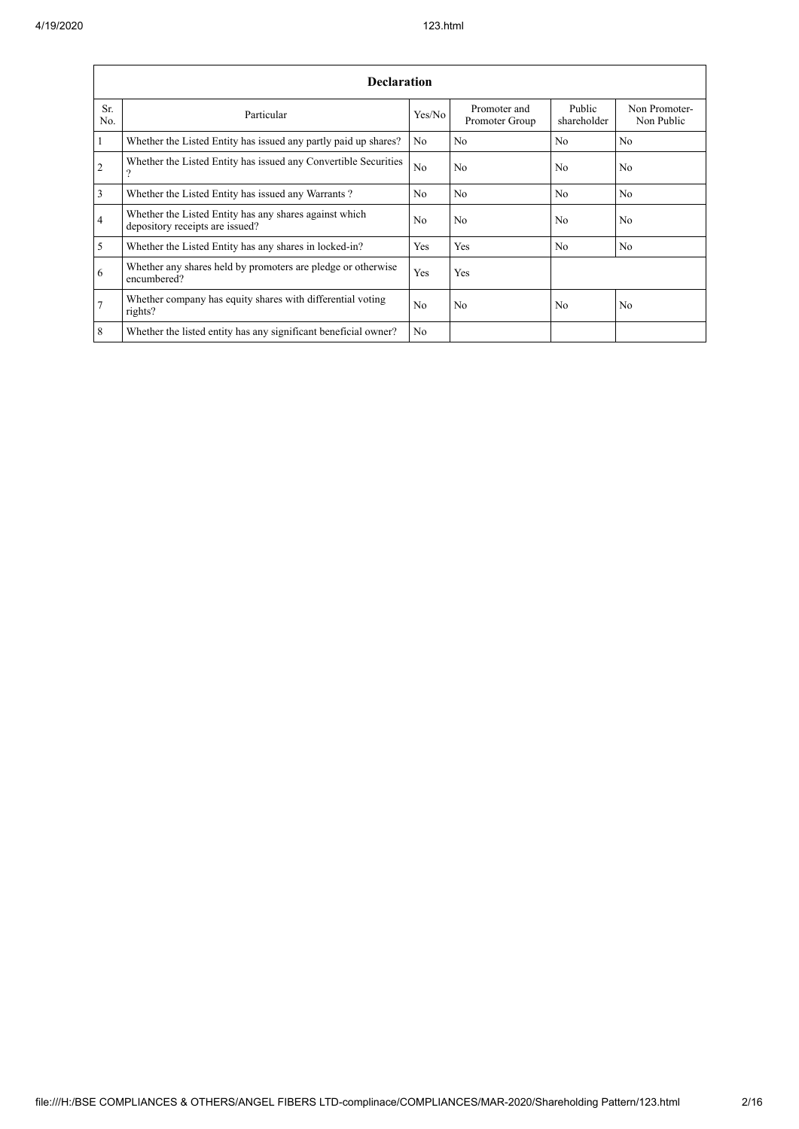$\overline{1}$ 

|                  | <b>Declaration</b>                                                                        |                |                                |                       |                             |  |  |  |  |  |  |  |
|------------------|-------------------------------------------------------------------------------------------|----------------|--------------------------------|-----------------------|-----------------------------|--|--|--|--|--|--|--|
| Sr.<br>No.       | Particular                                                                                | Yes/No         | Promoter and<br>Promoter Group | Public<br>shareholder | Non Promoter-<br>Non Public |  |  |  |  |  |  |  |
| $\vert$ 1        | Whether the Listed Entity has issued any partly paid up shares?                           | N <sub>0</sub> | N <sub>0</sub>                 | N <sub>o</sub>        | N <sub>0</sub>              |  |  |  |  |  |  |  |
| $\overline{2}$   | Whether the Listed Entity has issued any Convertible Securities<br>$\gamma$               | N <sub>0</sub> | N <sub>0</sub>                 | N <sub>0</sub>        | N <sub>0</sub>              |  |  |  |  |  |  |  |
| $\overline{3}$   | Whether the Listed Entity has issued any Warrants?                                        | N <sub>0</sub> | N <sub>0</sub>                 | N <sub>o</sub>        | N <sub>0</sub>              |  |  |  |  |  |  |  |
| $\overline{4}$   | Whether the Listed Entity has any shares against which<br>depository receipts are issued? | No             | N <sub>0</sub>                 | N <sub>0</sub>        | N <sub>0</sub>              |  |  |  |  |  |  |  |
| $\overline{5}$   | Whether the Listed Entity has any shares in locked-in?                                    | Yes            | Yes                            | N <sub>o</sub>        | N <sub>0</sub>              |  |  |  |  |  |  |  |
| 6                | Whether any shares held by promoters are pledge or otherwise<br>encumbered?               | Yes            | Yes                            |                       |                             |  |  |  |  |  |  |  |
| $\overline{7}$   | Whether company has equity shares with differential voting<br>rights?                     | N <sub>0</sub> | N <sub>0</sub>                 | N <sub>0</sub>        | N <sub>0</sub>              |  |  |  |  |  |  |  |
| $\boldsymbol{8}$ | Whether the listed entity has any significant beneficial owner?                           | N <sub>0</sub> |                                |                       |                             |  |  |  |  |  |  |  |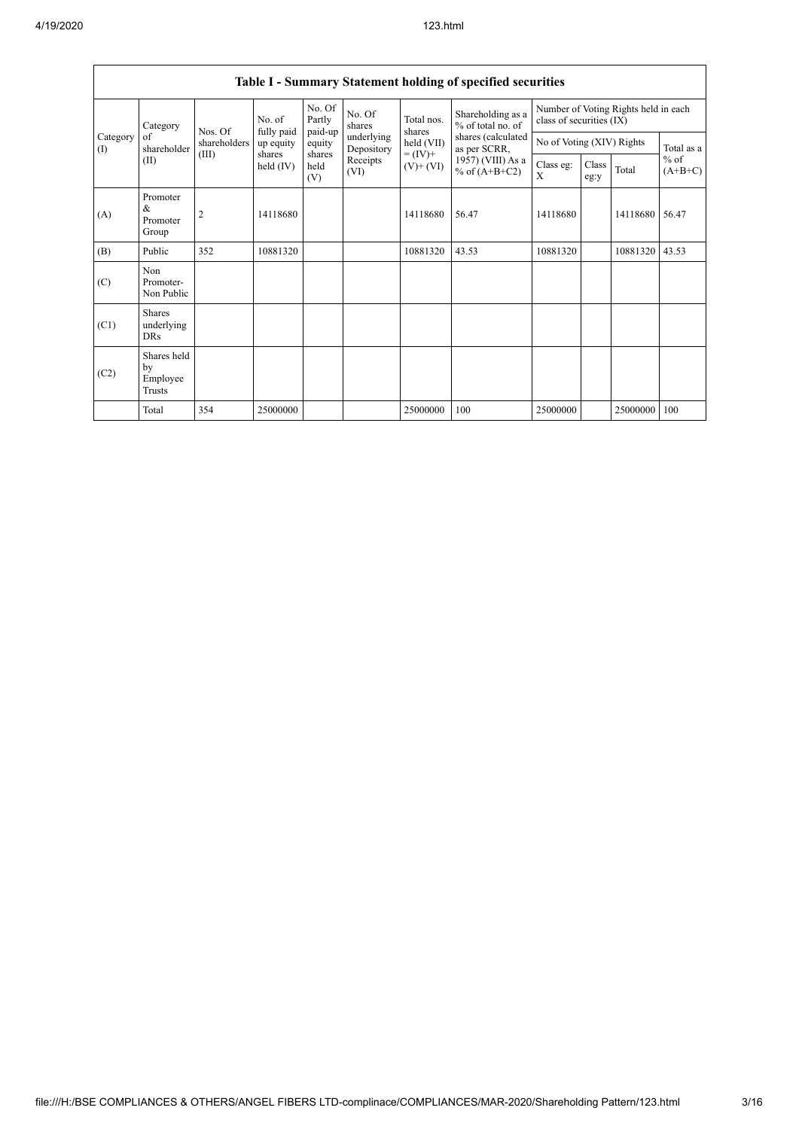$\mathbf{r}$ 

|                 | Table I - Summary Statement holding of specified securities |                |                       |                       |                          |                          |                                                                                                                      |                                                                  |               |          |                                   |  |  |
|-----------------|-------------------------------------------------------------|----------------|-----------------------|-----------------------|--------------------------|--------------------------|----------------------------------------------------------------------------------------------------------------------|------------------------------------------------------------------|---------------|----------|-----------------------------------|--|--|
| Category<br>(1) | Category                                                    | Nos. Of        | No. of<br>fully paid  | No. Of<br>Partly      | No. Of<br>shares         | Total nos.<br>shares     | Shareholding as a<br>% of total no. of<br>shares (calculated<br>as per SCRR,<br>1957) (VIII) As a<br>% of $(A+B+C2)$ | Number of Voting Rights held in each<br>class of securities (IX) |               |          |                                   |  |  |
|                 | of<br>shareholder                                           | shareholders   | up equity             | paid-up<br>equity     | underlying<br>Depository | held (VII)               |                                                                                                                      | No of Voting (XIV) Rights                                        |               |          | Total as a<br>$%$ of<br>$(A+B+C)$ |  |  |
|                 | (II)                                                        | (III)          | shares<br>held $(IV)$ | shares<br>held<br>(V) | Receipts<br>(VI)         | $= (IV) +$<br>$(V)+(VI)$ |                                                                                                                      | Class eg:<br>X                                                   | Class<br>eg:y | Total    |                                   |  |  |
| (A)             | Promoter<br>&<br>Promoter<br>Group                          | $\overline{2}$ | 14118680              |                       |                          | 14118680                 | 56.47                                                                                                                | 14118680                                                         |               | 14118680 | 56.47                             |  |  |
| (B)             | Public                                                      | 352            | 10881320              |                       |                          | 10881320                 | 43.53                                                                                                                | 10881320                                                         |               | 10881320 | 43.53                             |  |  |
| (C)             | Non<br>Promoter-<br>Non Public                              |                |                       |                       |                          |                          |                                                                                                                      |                                                                  |               |          |                                   |  |  |
| (C1)            | <b>Shares</b><br>underlying<br><b>DRs</b>                   |                |                       |                       |                          |                          |                                                                                                                      |                                                                  |               |          |                                   |  |  |
| (C2)            | Shares held<br>by<br>Employee<br>Trusts                     |                |                       |                       |                          |                          |                                                                                                                      |                                                                  |               |          |                                   |  |  |
|                 | Total                                                       | 354            | 25000000              |                       |                          | 25000000                 | 100                                                                                                                  | 25000000                                                         |               | 25000000 | 100                               |  |  |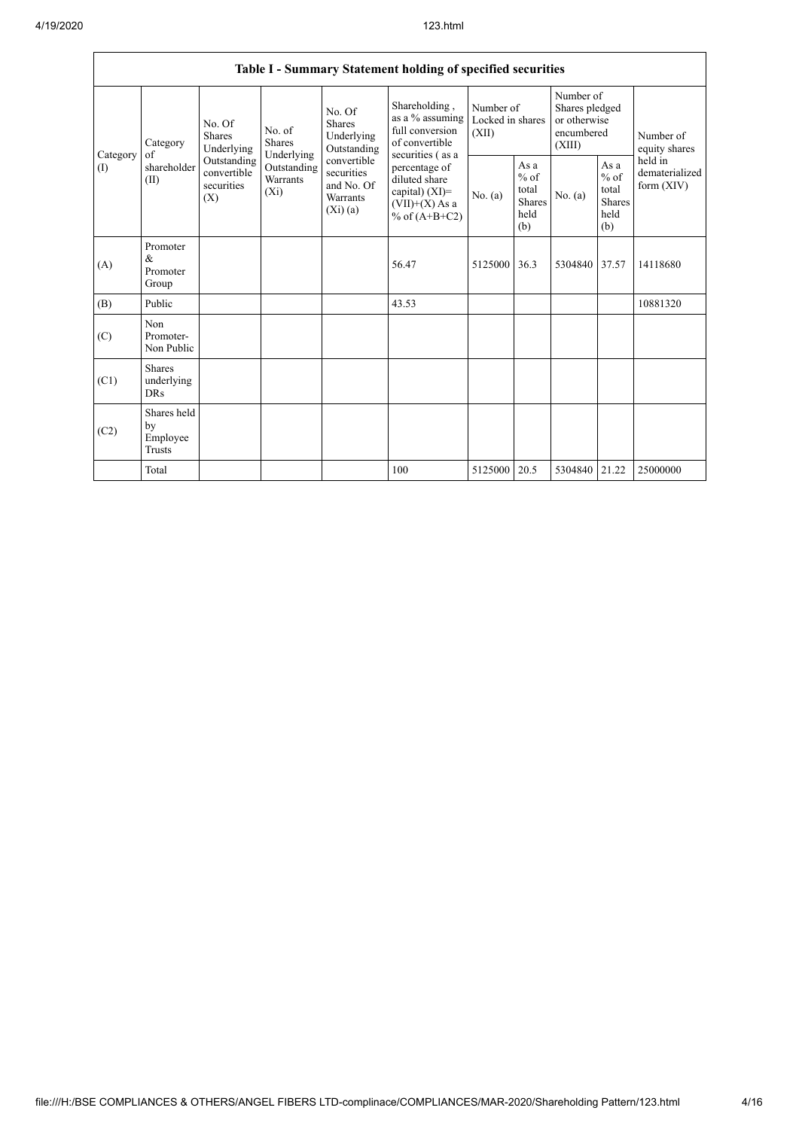|                 |                                           |                                                 |                                                                             |                                                                | Table I - Summary Statement holding of specified securities                                                    |                                        |                                                  |                                                                     |                                                         |                                           |
|-----------------|-------------------------------------------|-------------------------------------------------|-----------------------------------------------------------------------------|----------------------------------------------------------------|----------------------------------------------------------------------------------------------------------------|----------------------------------------|--------------------------------------------------|---------------------------------------------------------------------|---------------------------------------------------------|-------------------------------------------|
| Category<br>(1) | Category<br>of<br>shareholder<br>(II)     | No. Of<br>Shares<br>Underlying                  | No. of<br><b>Shares</b><br>Underlying<br>Outstanding<br>Warrants<br>$(X_i)$ | No. Of<br>Shares<br>Underlying<br>Outstanding                  | Shareholding,<br>as a % assuming<br>full conversion<br>of convertible                                          | Number of<br>Locked in shares<br>(XII) |                                                  | Number of<br>Shares pledged<br>or otherwise<br>encumbered<br>(XIII) |                                                         | Number of<br>equity shares                |
|                 |                                           | Outstanding<br>convertible<br>securities<br>(X) |                                                                             | convertible<br>securities<br>and No. Of<br>Warrants<br>(Xi)(a) | securities (as a<br>percentage of<br>diluted share<br>capital) $(XI)$ =<br>$(VII)+(X)$ As a<br>% of $(A+B+C2)$ | No. $(a)$                              | As a<br>$%$ of<br>total<br>Shares<br>held<br>(b) | No. $(a)$                                                           | As a<br>$%$ of<br>total<br><b>Shares</b><br>held<br>(b) | held in<br>dematerialized<br>form $(XIV)$ |
| (A)             | Promoter<br>$\&$<br>Promoter<br>Group     |                                                 |                                                                             |                                                                | 56.47                                                                                                          | 5125000                                | 36.3                                             | 5304840 37.57                                                       |                                                         | 14118680                                  |
| (B)             | Public                                    |                                                 |                                                                             |                                                                | 43.53                                                                                                          |                                        |                                                  |                                                                     |                                                         | 10881320                                  |
| (C)             | <b>Non</b><br>Promoter-<br>Non Public     |                                                 |                                                                             |                                                                |                                                                                                                |                                        |                                                  |                                                                     |                                                         |                                           |
| (C1)            | <b>Shares</b><br>underlying<br><b>DRs</b> |                                                 |                                                                             |                                                                |                                                                                                                |                                        |                                                  |                                                                     |                                                         |                                           |
| (C2)            | Shares held<br>by<br>Employee<br>Trusts   |                                                 |                                                                             |                                                                |                                                                                                                |                                        |                                                  |                                                                     |                                                         |                                           |
|                 | Total                                     |                                                 |                                                                             |                                                                | 100                                                                                                            | 5125000                                | 20.5                                             | 5304840 21.22                                                       |                                                         | 25000000                                  |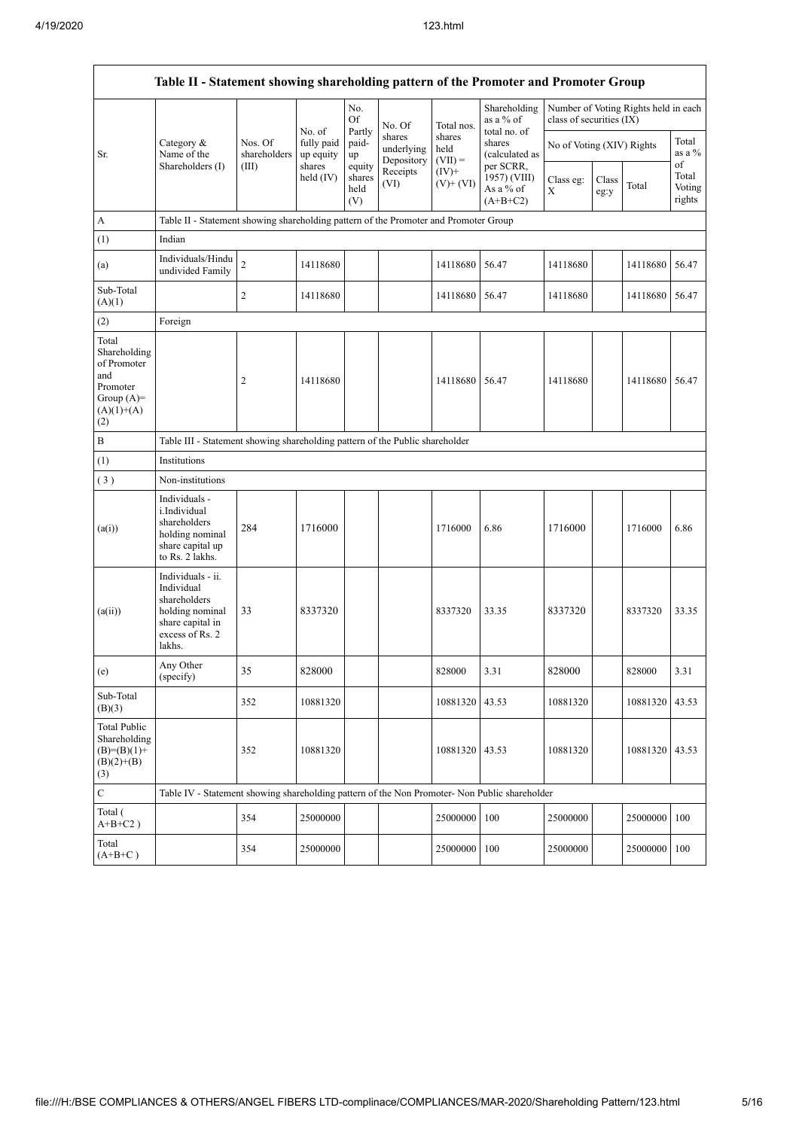$\mathsf{r}$ 

| Table II - Statement showing shareholding pattern of the Promoter and Promoter Group           |                                                                                                                     |                         |                                   |                                 |                                    |                             |                                                      |                           |               |                                      |                           |
|------------------------------------------------------------------------------------------------|---------------------------------------------------------------------------------------------------------------------|-------------------------|-----------------------------------|---------------------------------|------------------------------------|-----------------------------|------------------------------------------------------|---------------------------|---------------|--------------------------------------|---------------------------|
|                                                                                                |                                                                                                                     |                         | No. of                            | No.<br>Of                       | No. Of                             | Total nos.                  | Shareholding<br>as a % of                            | class of securities (IX)  |               | Number of Voting Rights held in each |                           |
| Sr.                                                                                            | Category &<br>Name of the<br>Shareholders (I)                                                                       | Nos. Of<br>shareholders | fully paid<br>up equity<br>shares | Partly<br>paid-<br>up           | shares<br>underlying<br>Depository | shares<br>held<br>$(VII) =$ | total no. of<br>shares<br>(calculated as             | No of Voting (XIV) Rights |               |                                      | Total<br>as a %<br>of     |
|                                                                                                |                                                                                                                     | (III)                   | held $(IV)$                       | equity<br>shares<br>held<br>(V) | Receipts<br>(VI)                   | $(IV)$ +<br>$(V)+(VI)$      | per SCRR,<br>1957) (VIII)<br>As a % of<br>$(A+B+C2)$ | Class eg:<br>X            | Class<br>eg:y | Total                                | Total<br>Voting<br>rights |
| A                                                                                              | Table II - Statement showing shareholding pattern of the Promoter and Promoter Group                                |                         |                                   |                                 |                                    |                             |                                                      |                           |               |                                      |                           |
| (1)                                                                                            | Indian                                                                                                              |                         |                                   |                                 |                                    |                             |                                                      |                           |               |                                      |                           |
| (a)                                                                                            | Individuals/Hindu<br>undivided Family                                                                               | $\overline{c}$          | 14118680                          |                                 |                                    | 14118680                    | 56.47                                                | 14118680                  |               | 14118680                             | 56.47                     |
| Sub-Total<br>(A)(1)                                                                            |                                                                                                                     | $\overline{2}$          | 14118680                          |                                 |                                    | 14118680                    | 56.47                                                | 14118680                  |               | 14118680                             | 56.47                     |
| (2)                                                                                            | Foreign                                                                                                             |                         |                                   |                                 |                                    |                             |                                                      |                           |               |                                      |                           |
| Total<br>Shareholding<br>of Promoter<br>and<br>Promoter<br>Group $(A)=$<br>$(A)(1)+(A)$<br>(2) |                                                                                                                     | $\overline{c}$          | 14118680                          |                                 |                                    | 14118680                    | 56.47                                                | 14118680                  |               | 14118680                             | 56.47                     |
| $\, {\bf B}$                                                                                   | Table III - Statement showing shareholding pattern of the Public shareholder                                        |                         |                                   |                                 |                                    |                             |                                                      |                           |               |                                      |                           |
| (1)                                                                                            | Institutions                                                                                                        |                         |                                   |                                 |                                    |                             |                                                      |                           |               |                                      |                           |
| (3)                                                                                            | Non-institutions                                                                                                    |                         |                                   |                                 |                                    |                             |                                                      |                           |               |                                      |                           |
| (a(i))                                                                                         | Individuals -<br>i.Individual<br>shareholders<br>holding nominal<br>share capital up<br>to Rs. 2 lakhs.             | 284                     | 1716000                           |                                 |                                    | 1716000                     | 6.86                                                 | 1716000                   |               | 1716000                              | 6.86                      |
| (a(ii))                                                                                        | Individuals - ii.<br>Individual<br>shareholders<br>holding nominal<br>share capital in<br>excess of Rs. 2<br>lakhs. | 33                      | 8337320                           |                                 |                                    | 8337320                     | 33.35                                                | 8337320                   |               | 8337320                              | 33.35                     |
| (e)                                                                                            | Any Other<br>(specify)                                                                                              | 35                      | 828000                            |                                 |                                    | 828000                      | 3.31                                                 | 828000                    |               | 828000                               | 3.31                      |
| Sub-Total<br>(B)(3)                                                                            |                                                                                                                     | 352                     | 10881320                          |                                 |                                    | 10881320                    | 43.53                                                | 10881320                  |               | 10881320                             | 43.53                     |
| <b>Total Public</b><br>Shareholding<br>$(B)=(B)(1)+$<br>$(B)(2)+(B)$<br>(3)                    |                                                                                                                     | 352                     | 10881320                          |                                 |                                    | 10881320                    | 43.53                                                | 10881320                  |               | 10881320                             | 43.53                     |
| $\mathbf C$                                                                                    | Table IV - Statement showing shareholding pattern of the Non Promoter- Non Public shareholder                       |                         |                                   |                                 |                                    |                             |                                                      |                           |               |                                      |                           |
| Total (<br>$A+B+C2$ )                                                                          |                                                                                                                     | 354                     | 25000000                          |                                 |                                    | 25000000                    | 100                                                  | 25000000                  |               | 25000000                             | 100                       |
| Total<br>$(A+B+C)$                                                                             |                                                                                                                     | 354                     | 25000000                          |                                 |                                    | 25000000                    | 100                                                  | 25000000                  |               | 25000000                             | 100                       |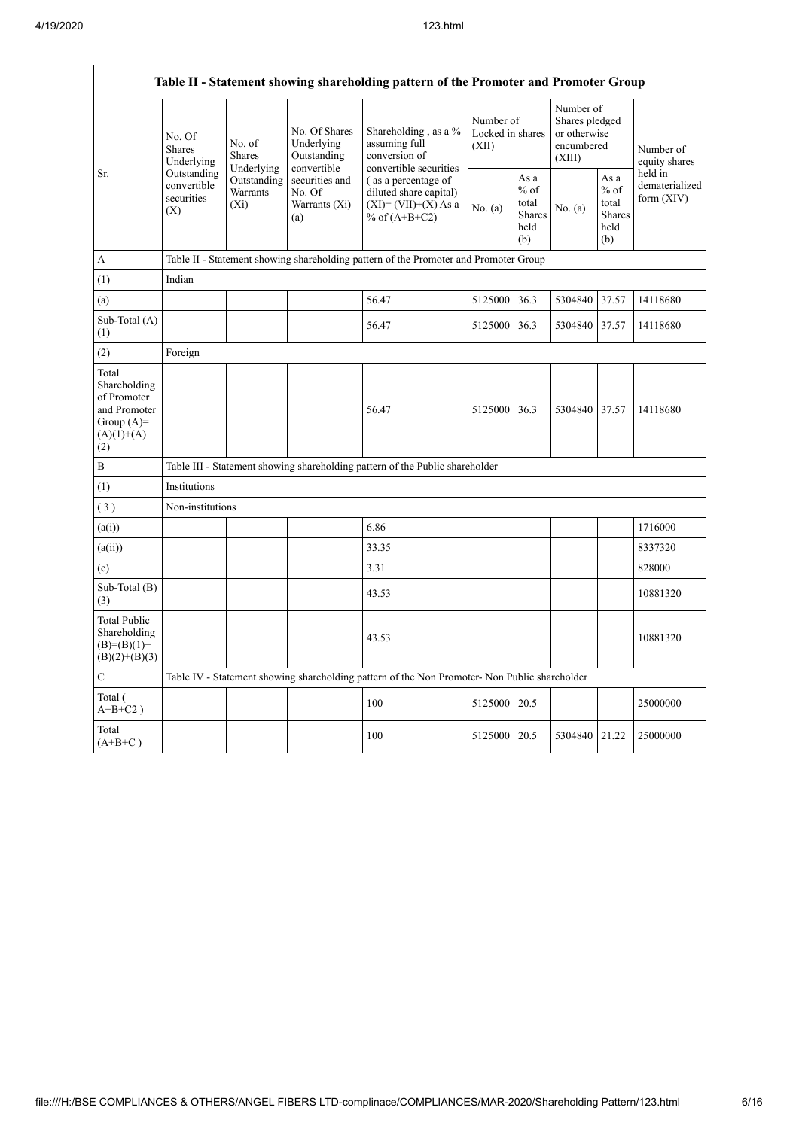$\overline{1}$ 

|                                                                                             |                                                 |                                       |                                                           | Table II - Statement showing shareholding pattern of the Promoter and Promoter Group          |                                        |                                                         |                                                                     |                                                  |                                           |  |
|---------------------------------------------------------------------------------------------|-------------------------------------------------|---------------------------------------|-----------------------------------------------------------|-----------------------------------------------------------------------------------------------|----------------------------------------|---------------------------------------------------------|---------------------------------------------------------------------|--------------------------------------------------|-------------------------------------------|--|
|                                                                                             | No. Of<br><b>Shares</b><br>Underlying           | No. of<br><b>Shares</b><br>Underlying | No. Of Shares<br>Underlying<br>Outstanding<br>convertible | Shareholding, as a %<br>assuming full<br>conversion of<br>convertible securities              | Number of<br>Locked in shares<br>(XII) |                                                         | Number of<br>Shares pledged<br>or otherwise<br>encumbered<br>(XIII) |                                                  | Number of<br>equity shares                |  |
| Sr.                                                                                         | Outstanding<br>convertible<br>securities<br>(X) | Outstanding<br>Warrants<br>$(X_i)$    | securities and<br>No. Of<br>Warrants (Xi)<br>(a)          | (as a percentage of<br>diluted share capital)<br>$(XI) = (VII)+(X) As a$<br>% of $(A+B+C2)$   | No. $(a)$                              | As a<br>$%$ of<br>total<br><b>Shares</b><br>held<br>(b) | No. (a)                                                             | As a<br>$%$ of<br>total<br>Shares<br>held<br>(b) | held in<br>dematerialized<br>form $(XIV)$ |  |
| A                                                                                           |                                                 |                                       |                                                           | Table II - Statement showing shareholding pattern of the Promoter and Promoter Group          |                                        |                                                         |                                                                     |                                                  |                                           |  |
| (1)                                                                                         | Indian                                          |                                       |                                                           |                                                                                               |                                        |                                                         |                                                                     |                                                  |                                           |  |
| (a)                                                                                         |                                                 |                                       |                                                           | 56.47                                                                                         | 5125000                                | 36.3                                                    | 5304840                                                             | 37.57                                            | 14118680                                  |  |
| Sub-Total (A)<br>(1)                                                                        |                                                 |                                       |                                                           | 56.47                                                                                         | 5125000                                | 36.3                                                    | 5304840 37.57                                                       |                                                  | 14118680                                  |  |
| (2)                                                                                         | Foreign                                         |                                       |                                                           |                                                                                               |                                        |                                                         |                                                                     |                                                  |                                           |  |
| Total<br>Shareholding<br>of Promoter<br>and Promoter<br>Group $(A)=$<br>$(A)(1)+(A)$<br>(2) |                                                 |                                       |                                                           | 56.47                                                                                         | 5125000                                | 36.3                                                    | 5304840 37.57                                                       |                                                  | 14118680                                  |  |
| B                                                                                           |                                                 |                                       |                                                           | Table III - Statement showing shareholding pattern of the Public shareholder                  |                                        |                                                         |                                                                     |                                                  |                                           |  |
| (1)                                                                                         | Institutions                                    |                                       |                                                           |                                                                                               |                                        |                                                         |                                                                     |                                                  |                                           |  |
| (3)                                                                                         | Non-institutions                                |                                       |                                                           |                                                                                               |                                        |                                                         |                                                                     |                                                  |                                           |  |
| (a(i))                                                                                      |                                                 |                                       |                                                           | 6.86                                                                                          |                                        |                                                         |                                                                     |                                                  | 1716000                                   |  |
| (a(ii))                                                                                     |                                                 |                                       |                                                           | 33.35                                                                                         |                                        |                                                         |                                                                     |                                                  | 8337320                                   |  |
| (e)                                                                                         |                                                 |                                       |                                                           | 3.31                                                                                          |                                        |                                                         |                                                                     |                                                  | 828000                                    |  |
| Sub-Total (B)<br>(3)                                                                        |                                                 |                                       |                                                           | 43.53                                                                                         |                                        |                                                         |                                                                     |                                                  | 10881320                                  |  |
| <b>Total Public</b><br>Shareholding<br>$(B)= (B)(1) +$<br>$(B)(2)+(B)(3)$                   |                                                 |                                       |                                                           | 43.53                                                                                         |                                        |                                                         |                                                                     |                                                  | 10881320                                  |  |
| $\mathbf C$                                                                                 |                                                 |                                       |                                                           | Table IV - Statement showing shareholding pattern of the Non Promoter- Non Public shareholder |                                        |                                                         |                                                                     |                                                  |                                           |  |
| Total (<br>$A+B+C2$ )                                                                       |                                                 |                                       |                                                           | 100                                                                                           | 5125000                                | 20.5                                                    |                                                                     |                                                  | 25000000                                  |  |
| Total<br>$(A+B+C)$                                                                          |                                                 |                                       |                                                           | 100                                                                                           | 5125000                                | 20.5                                                    | 5304840 21.22                                                       |                                                  | 25000000                                  |  |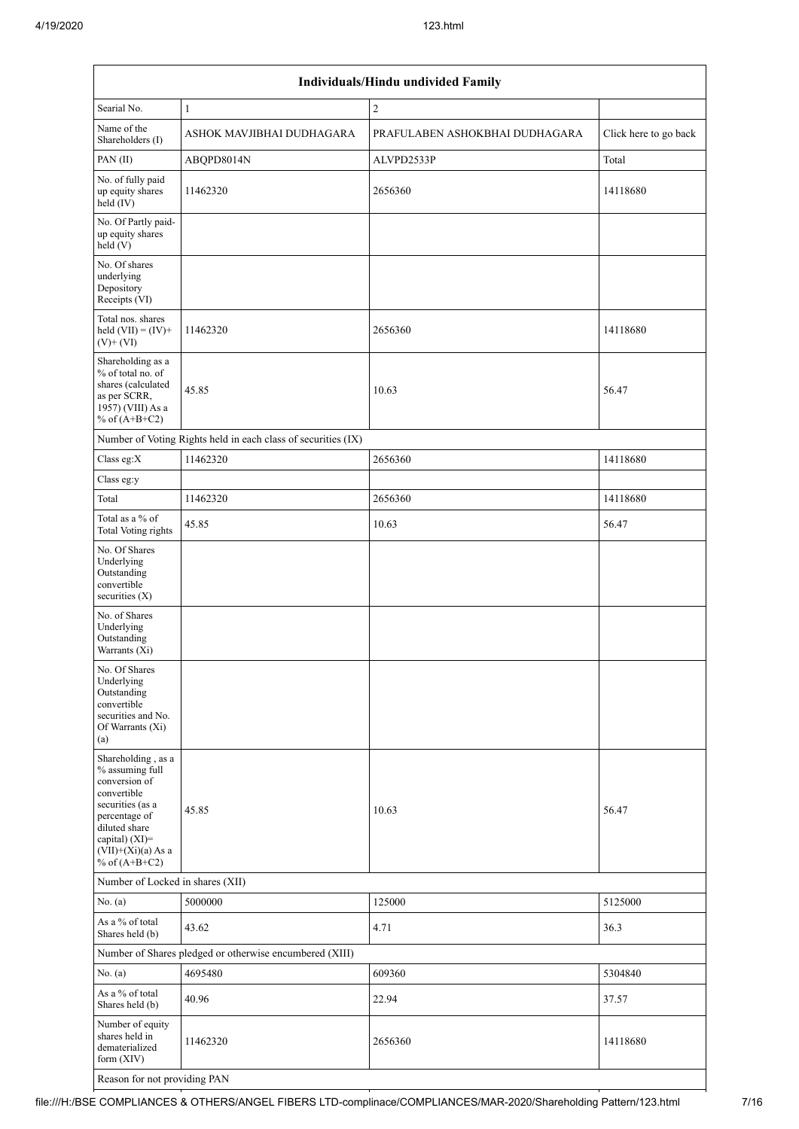| Individuals/Hindu undivided Family                                                                                                                                                       |                                                               |                                |                       |  |  |  |  |  |  |  |  |
|------------------------------------------------------------------------------------------------------------------------------------------------------------------------------------------|---------------------------------------------------------------|--------------------------------|-----------------------|--|--|--|--|--|--|--|--|
| Searial No.                                                                                                                                                                              | $\mathbf{1}$                                                  | $\overline{c}$                 |                       |  |  |  |  |  |  |  |  |
| Name of the<br>Shareholders (I)                                                                                                                                                          | ASHOK MAVJIBHAI DUDHAGARA                                     | PRAFULABEN ASHOKBHAI DUDHAGARA | Click here to go back |  |  |  |  |  |  |  |  |
| PAN (II)                                                                                                                                                                                 | ABOPD8014N                                                    | ALVPD2533P                     | Total                 |  |  |  |  |  |  |  |  |
| No. of fully paid<br>up equity shares<br>held (IV)                                                                                                                                       | 11462320                                                      | 2656360                        | 14118680              |  |  |  |  |  |  |  |  |
| No. Of Partly paid-<br>up equity shares<br>held(V)                                                                                                                                       |                                                               |                                |                       |  |  |  |  |  |  |  |  |
| No. Of shares<br>underlying<br>Depository<br>Receipts (VI)                                                                                                                               |                                                               |                                |                       |  |  |  |  |  |  |  |  |
| Total nos. shares<br>held $(VII) = (IV) +$<br>$(V)$ + $(VI)$                                                                                                                             | 11462320                                                      | 2656360                        | 14118680              |  |  |  |  |  |  |  |  |
| Shareholding as a<br>% of total no. of<br>shares (calculated<br>as per SCRR,<br>1957) (VIII) As a<br>% of $(A+B+C2)$                                                                     | 45.85                                                         | 10.63                          | 56.47                 |  |  |  |  |  |  |  |  |
|                                                                                                                                                                                          | Number of Voting Rights held in each class of securities (IX) |                                |                       |  |  |  |  |  |  |  |  |
| Class eg:X                                                                                                                                                                               | 11462320                                                      | 2656360                        | 14118680              |  |  |  |  |  |  |  |  |
| Class eg:y                                                                                                                                                                               |                                                               |                                |                       |  |  |  |  |  |  |  |  |
| Total                                                                                                                                                                                    | 11462320                                                      | 2656360                        | 14118680              |  |  |  |  |  |  |  |  |
| Total as a % of<br><b>Total Voting rights</b>                                                                                                                                            | 45.85                                                         | 10.63                          | 56.47                 |  |  |  |  |  |  |  |  |
| No. Of Shares<br>Underlying<br>Outstanding<br>convertible<br>securities (X)                                                                                                              |                                                               |                                |                       |  |  |  |  |  |  |  |  |
| No. of Shares<br>Underlying<br>Outstanding<br>Warrants (Xi)                                                                                                                              |                                                               |                                |                       |  |  |  |  |  |  |  |  |
| No. Of Shares<br>Underlying<br>Outstanding<br>convertible<br>securities and No.<br>Of Warrants (Xi)<br>(a)                                                                               |                                                               |                                |                       |  |  |  |  |  |  |  |  |
| Shareholding, as a<br>% assuming full<br>conversion of<br>convertible<br>securities (as a<br>percentage of<br>diluted share<br>capital) (XI)=<br>$(VII)+(Xi)(a)$ As a<br>% of $(A+B+C2)$ | 45.85                                                         | 10.63                          | 56.47                 |  |  |  |  |  |  |  |  |
| Number of Locked in shares (XII)                                                                                                                                                         |                                                               |                                |                       |  |  |  |  |  |  |  |  |
| No. (a)                                                                                                                                                                                  | 5000000                                                       | 125000                         | 5125000               |  |  |  |  |  |  |  |  |
| As a % of total<br>Shares held (b)                                                                                                                                                       | 43.62                                                         | 4.71                           | 36.3                  |  |  |  |  |  |  |  |  |
|                                                                                                                                                                                          | Number of Shares pledged or otherwise encumbered (XIII)       |                                |                       |  |  |  |  |  |  |  |  |
| No. (a)                                                                                                                                                                                  | 4695480                                                       | 609360                         | 5304840               |  |  |  |  |  |  |  |  |
| As a % of total<br>Shares held (b)                                                                                                                                                       | 40.96                                                         | 22.94                          | 37.57                 |  |  |  |  |  |  |  |  |
| Number of equity<br>shares held in<br>dematerialized<br>form (XIV)                                                                                                                       | 11462320                                                      | 2656360                        | 14118680              |  |  |  |  |  |  |  |  |
| Reason for not providing PAN                                                                                                                                                             |                                                               |                                |                       |  |  |  |  |  |  |  |  |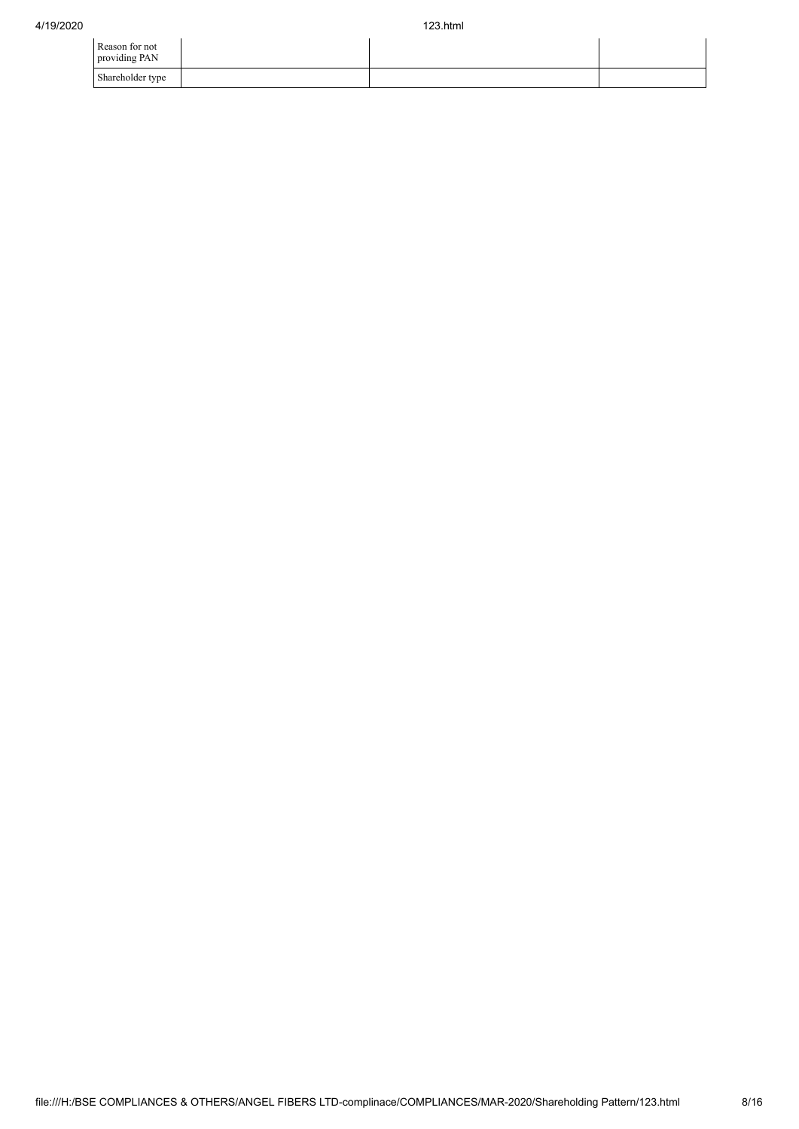| Reason for not<br>providing PAN |  |  |
|---------------------------------|--|--|
| Shareholder type                |  |  |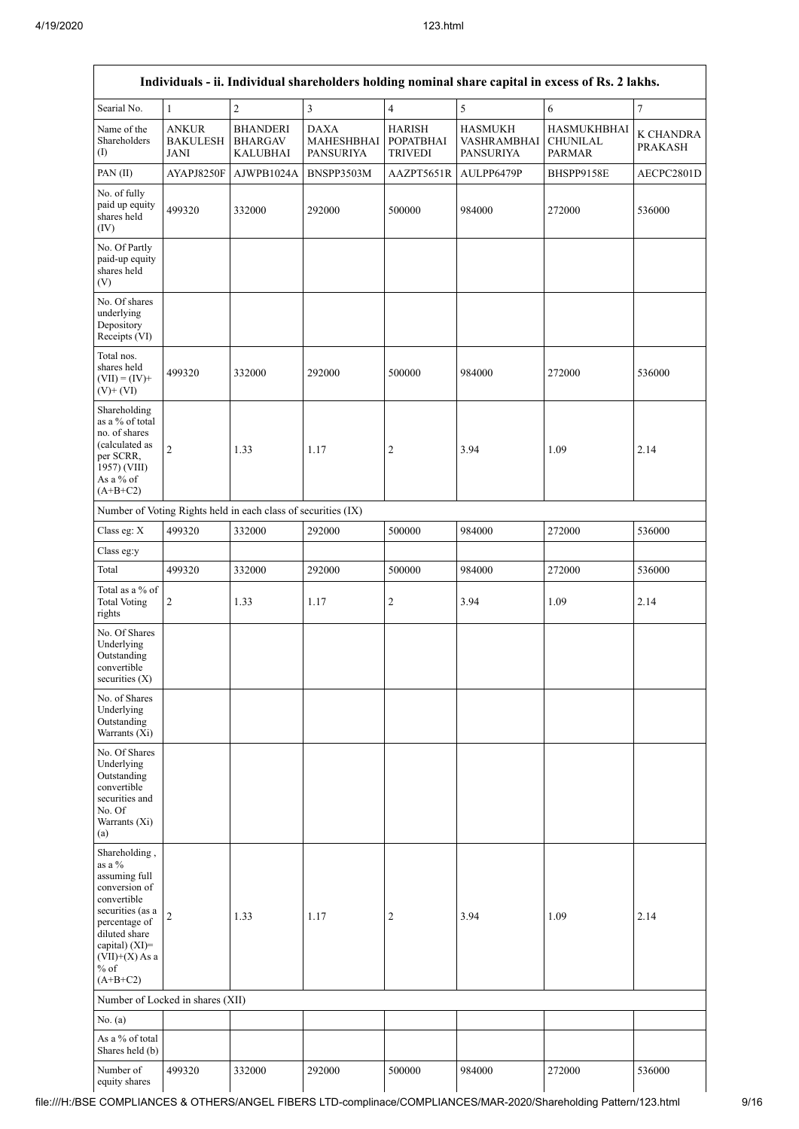| Individuals - ii. Individual shareholders holding nominal share capital in excess of Rs. 2 lakhs.                                                                                            |                                                |                                                               |                                               |                                                     |                                                   |                                                        |                             |  |  |  |
|----------------------------------------------------------------------------------------------------------------------------------------------------------------------------------------------|------------------------------------------------|---------------------------------------------------------------|-----------------------------------------------|-----------------------------------------------------|---------------------------------------------------|--------------------------------------------------------|-----------------------------|--|--|--|
| Searial No.                                                                                                                                                                                  | $\mathbf{1}$                                   | $\overline{2}$                                                | 3                                             | $\overline{4}$                                      | 5                                                 | $\sqrt{6}$                                             | $\boldsymbol{7}$            |  |  |  |
| Name of the<br>Shareholders<br>(1)                                                                                                                                                           | <b>ANKUR</b><br><b>BAKULESH</b><br><b>JANI</b> | <b>BHANDERI</b><br><b>BHARGAV</b><br><b>KALUBHAI</b>          | <b>DAXA</b><br>MAHESHBHAI<br><b>PANSURIYA</b> | <b>HARISH</b><br><b>POPATBHAI</b><br><b>TRIVEDI</b> | <b>HASMUKH</b><br>VASHRAMBHAI<br><b>PANSURIYA</b> | <b>HASMUKHBHAI</b><br><b>CHUNILAL</b><br><b>PARMAR</b> | K CHANDRA<br><b>PRAKASH</b> |  |  |  |
| PAN(II)                                                                                                                                                                                      | AYAPJ8250F                                     | AJWPB1024A                                                    | BNSPP3503M                                    | AAZPT5651R                                          | AULPP6479P                                        | BHSPP9158E                                             | AECPC2801D                  |  |  |  |
| No. of fully<br>paid up equity<br>shares held<br>(IV)                                                                                                                                        | 499320                                         | 332000                                                        | 292000                                        | 500000                                              | 984000                                            | 272000                                                 | 536000                      |  |  |  |
| No. Of Partly<br>paid-up equity<br>shares held<br>(V)                                                                                                                                        |                                                |                                                               |                                               |                                                     |                                                   |                                                        |                             |  |  |  |
| No. Of shares<br>underlying<br>Depository<br>Receipts (VI)                                                                                                                                   |                                                |                                                               |                                               |                                                     |                                                   |                                                        |                             |  |  |  |
| Total nos.<br>shares held<br>$(VII) = (IV) +$<br>$(V) + (VI)$                                                                                                                                | 499320                                         | 332000                                                        | 292000                                        | 500000                                              | 984000                                            | 272000                                                 | 536000                      |  |  |  |
| Shareholding<br>as a % of total<br>no. of shares<br>(calculated as<br>per SCRR,<br>1957) (VIII)<br>As a % of<br>$(A+B+C2)$                                                                   | 2                                              | 1.33                                                          | 1.17                                          | $\overline{c}$                                      | 3.94                                              | 1.09                                                   | 2.14                        |  |  |  |
|                                                                                                                                                                                              |                                                | Number of Voting Rights held in each class of securities (IX) |                                               |                                                     |                                                   |                                                        |                             |  |  |  |
| Class eg: X                                                                                                                                                                                  | 499320                                         | 332000                                                        | 292000                                        | 500000                                              | 984000                                            | 272000                                                 | 536000                      |  |  |  |
| Class eg:y                                                                                                                                                                                   |                                                |                                                               |                                               |                                                     |                                                   |                                                        |                             |  |  |  |
| Total                                                                                                                                                                                        | 499320                                         | 332000                                                        | 292000                                        | 500000                                              | 984000                                            | 272000                                                 | 536000                      |  |  |  |
| Total as a % of<br><b>Total Voting</b><br>rights                                                                                                                                             | 2                                              | 1.33                                                          | 1.17                                          | $\boldsymbol{2}$                                    | 3.94                                              | 1.09                                                   | 2.14                        |  |  |  |
| No. Of Shares<br>Underlying<br>Outstanding<br>convertible<br>securities (X)                                                                                                                  |                                                |                                                               |                                               |                                                     |                                                   |                                                        |                             |  |  |  |
| No. of Shares<br>Underlying<br>Outstanding<br>Warrants (Xi)                                                                                                                                  |                                                |                                                               |                                               |                                                     |                                                   |                                                        |                             |  |  |  |
| No. Of Shares<br>Underlying<br>Outstanding<br>convertible<br>securities and<br>No. Of<br>Warrants (Xi)<br>(a)                                                                                |                                                |                                                               |                                               |                                                     |                                                   |                                                        |                             |  |  |  |
| Shareholding,<br>as a %<br>assuming full<br>conversion of<br>convertible<br>securities (as a<br>percentage of<br>diluted share<br>capital) (XI)=<br>$(VII)+(X)$ As a<br>$%$ of<br>$(A+B+C2)$ | $\overline{c}$                                 | 1.33                                                          | 1.17                                          | $\overline{c}$                                      | 3.94                                              | 1.09                                                   | 2.14                        |  |  |  |
|                                                                                                                                                                                              | Number of Locked in shares (XII)               |                                                               |                                               |                                                     |                                                   |                                                        |                             |  |  |  |
| No. (a)                                                                                                                                                                                      |                                                |                                                               |                                               |                                                     |                                                   |                                                        |                             |  |  |  |
| As a % of total<br>Shares held (b)                                                                                                                                                           |                                                |                                                               |                                               |                                                     |                                                   |                                                        |                             |  |  |  |
| Number of<br>equity shares                                                                                                                                                                   | 499320                                         | 332000                                                        | 292000                                        | 500000                                              | 984000                                            | 272000                                                 | 536000                      |  |  |  |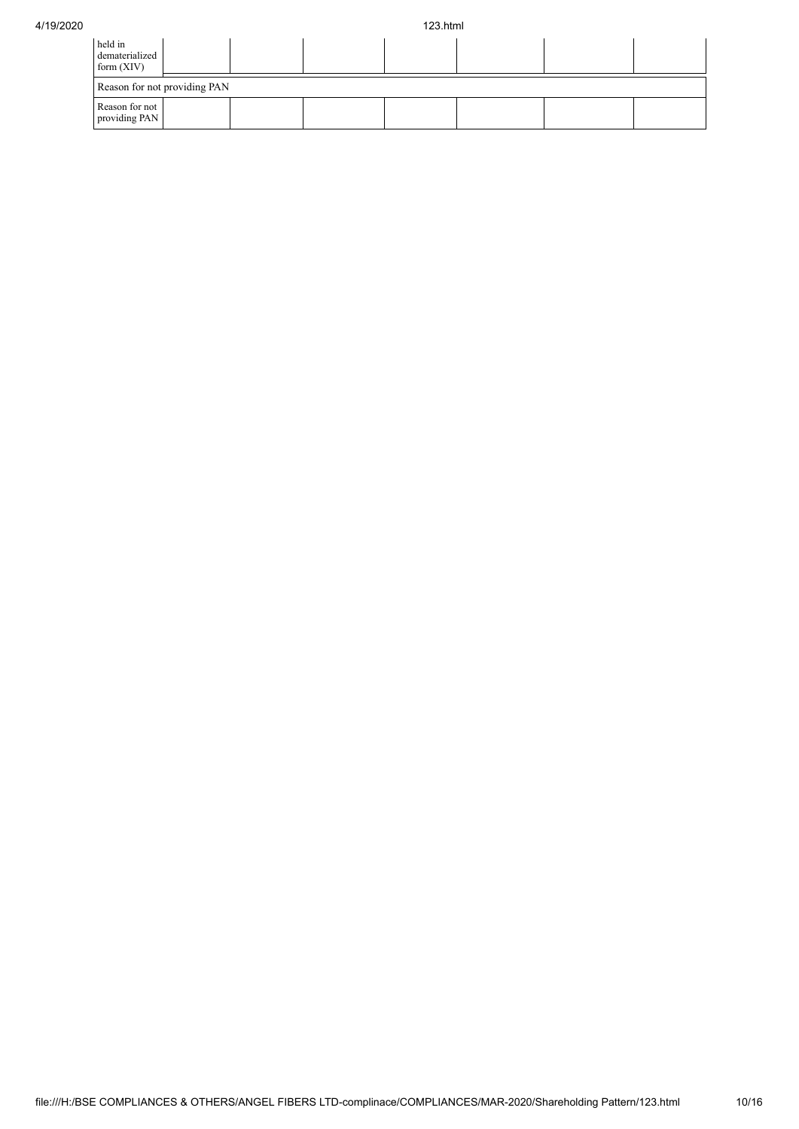| held in<br>dematerialized<br>form $(XIV)$ |  |  |  |  |  |  |  |  |  |  |
|-------------------------------------------|--|--|--|--|--|--|--|--|--|--|
| Reason for not providing PAN              |  |  |  |  |  |  |  |  |  |  |
| Reason for not<br>providing PAN           |  |  |  |  |  |  |  |  |  |  |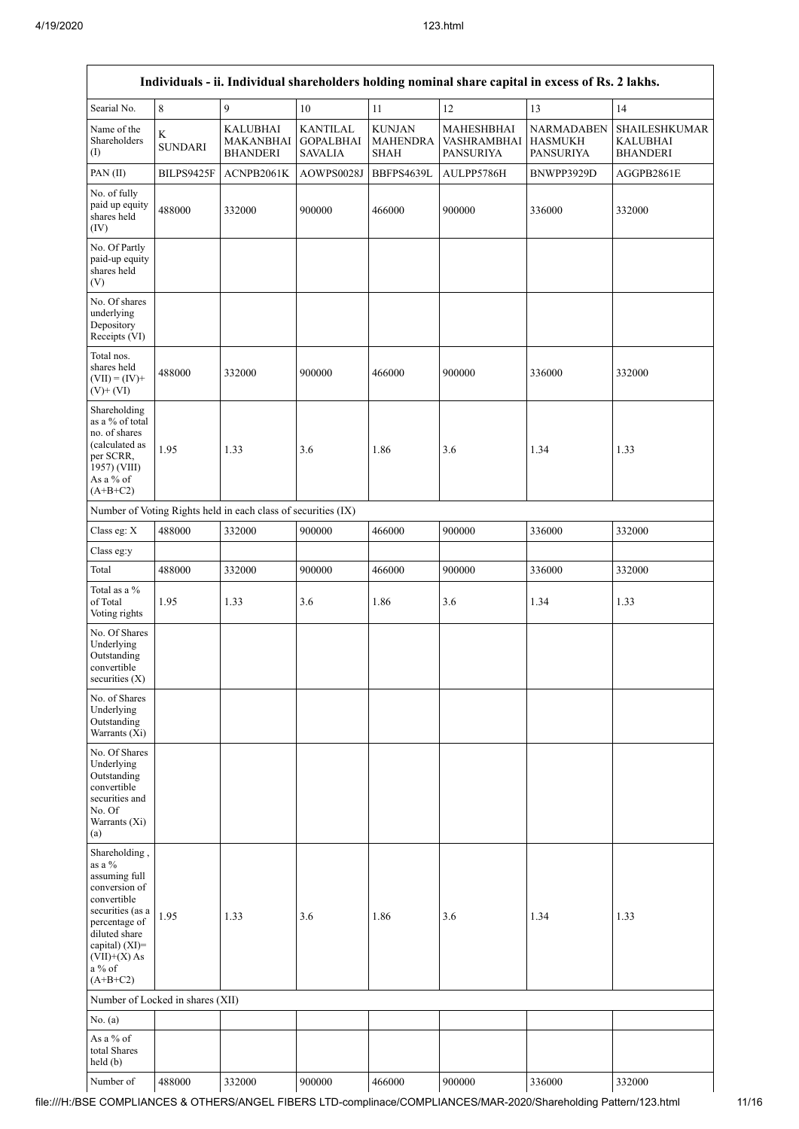$\Gamma$ 

| Individuals - ii. Individual shareholders holding nominal share capital in excess of Rs. 2 lakhs.                                                                                          |                                  |                                                               |                                                       |                                                 |                                               |                                                  |                                              |  |  |  |  |
|--------------------------------------------------------------------------------------------------------------------------------------------------------------------------------------------|----------------------------------|---------------------------------------------------------------|-------------------------------------------------------|-------------------------------------------------|-----------------------------------------------|--------------------------------------------------|----------------------------------------------|--|--|--|--|
| Searial No.                                                                                                                                                                                | $\,$ 8 $\,$                      | $\mathfrak{g}$                                                | $10\,$                                                | 11                                              | $12\,$                                        | 13                                               | 14                                           |  |  |  |  |
| Name of the<br>Shareholders<br>(1)                                                                                                                                                         | $\rm K$<br><b>SUNDARI</b>        | <b>KALUBHAI</b><br>MAKANBHAI<br><b>BHANDERI</b>               | <b>KANTILAL</b><br><b>GOPALBHAI</b><br><b>SAVALIA</b> | <b>KUNJAN</b><br><b>MAHENDRA</b><br><b>SHAH</b> | MAHESHBHAI<br>VASHRAMBHAI<br><b>PANSURIYA</b> | NARMADABEN<br><b>HASMUKH</b><br><b>PANSURIYA</b> | SHAILESHKUMAR<br>KALUBHAI<br><b>BHANDERI</b> |  |  |  |  |
| PAN(II)                                                                                                                                                                                    | BILPS9425F                       | ACNPB2061K                                                    | AOWPS0028J                                            | BBFPS4639L                                      | AULPP5786H                                    | BNWPP3929D                                       | AGGPB2861E                                   |  |  |  |  |
| No. of fully<br>paid up equity<br>shares held<br>(IV)                                                                                                                                      | 488000                           | 332000                                                        | 900000                                                | 466000                                          | 900000                                        | 336000                                           | 332000                                       |  |  |  |  |
| No. Of Partly<br>paid-up equity<br>shares held<br>(V)                                                                                                                                      |                                  |                                                               |                                                       |                                                 |                                               |                                                  |                                              |  |  |  |  |
| No. Of shares<br>underlying<br>Depository<br>Receipts (VI)                                                                                                                                 |                                  |                                                               |                                                       |                                                 |                                               |                                                  |                                              |  |  |  |  |
| Total nos.<br>shares held<br>$(VII) = (IV) +$<br>$(V)+(VI)$                                                                                                                                | 488000                           | 332000                                                        | 900000                                                | 466000                                          | 900000                                        | 336000                                           | 332000                                       |  |  |  |  |
| Shareholding<br>as a % of total<br>no. of shares<br>(calculated as<br>per SCRR,<br>1957) (VIII)<br>As a % of<br>$(A+B+C2)$                                                                 | 1.95                             | 1.33                                                          | 3.6                                                   | 1.86                                            | 3.6                                           | 1.34                                             | 1.33                                         |  |  |  |  |
|                                                                                                                                                                                            |                                  | Number of Voting Rights held in each class of securities (IX) |                                                       |                                                 |                                               |                                                  |                                              |  |  |  |  |
| Class eg: X                                                                                                                                                                                | 488000                           | 332000                                                        | 900000                                                | 466000                                          | 900000                                        | 336000                                           | 332000                                       |  |  |  |  |
| Class eg:y                                                                                                                                                                                 |                                  |                                                               |                                                       |                                                 |                                               |                                                  |                                              |  |  |  |  |
| Total                                                                                                                                                                                      | 488000                           | 332000                                                        | 900000                                                | 466000                                          | 900000                                        | 336000                                           | 332000                                       |  |  |  |  |
| Total as a %<br>of Total<br>Voting rights                                                                                                                                                  | 1.95                             | 1.33                                                          | 3.6                                                   | 1.86                                            | 3.6                                           | 1.34                                             | 1.33                                         |  |  |  |  |
| No. Of Shares<br>Underlying<br>Outstanding<br>convertible<br>securities $(X)$                                                                                                              |                                  |                                                               |                                                       |                                                 |                                               |                                                  |                                              |  |  |  |  |
| No. of Shares<br>Underlying<br>Outstanding<br>Warrants (Xi)                                                                                                                                |                                  |                                                               |                                                       |                                                 |                                               |                                                  |                                              |  |  |  |  |
| No. Of Shares<br>Underlying<br>Outstanding<br>convertible<br>securities and<br>No. Of<br>Warrants (Xi)<br>(a)                                                                              |                                  |                                                               |                                                       |                                                 |                                               |                                                  |                                              |  |  |  |  |
| Shareholding,<br>as a %<br>assuming full<br>conversion of<br>convertible<br>securities (as a<br>percentage of<br>diluted share<br>capital) (XI)=<br>$(VII)+(X)$ As<br>a % of<br>$(A+B+C2)$ | 1.95                             | 1.33                                                          | 3.6                                                   | 1.86                                            | 3.6                                           | 1.34                                             | 1.33                                         |  |  |  |  |
|                                                                                                                                                                                            | Number of Locked in shares (XII) |                                                               |                                                       |                                                 |                                               |                                                  |                                              |  |  |  |  |
| No. $(a)$                                                                                                                                                                                  |                                  |                                                               |                                                       |                                                 |                                               |                                                  |                                              |  |  |  |  |
| As a % of<br>total Shares<br>held (b)                                                                                                                                                      |                                  |                                                               |                                                       |                                                 |                                               |                                                  |                                              |  |  |  |  |
| Number of                                                                                                                                                                                  | 488000                           | 332000                                                        | 900000                                                | 466000                                          | 900000                                        | 336000                                           | 332000                                       |  |  |  |  |

 $\overline{\mathsf{L}}$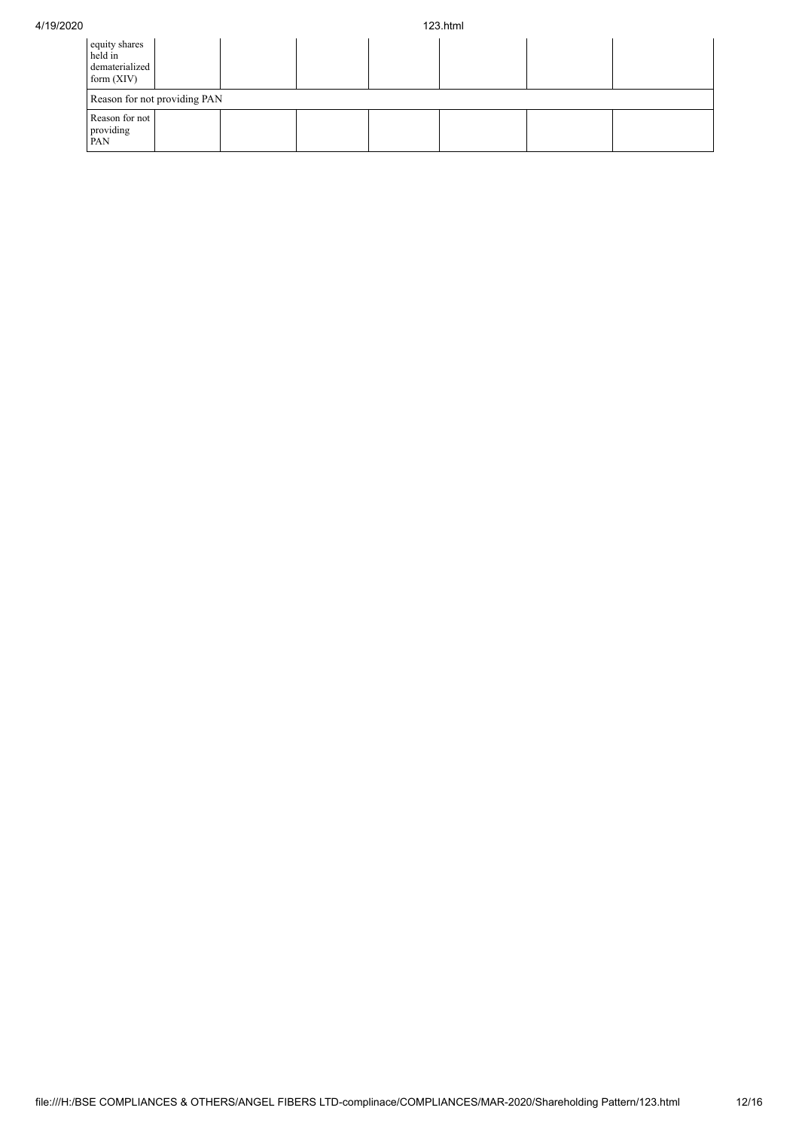| 4/19/2020 |                                                            |  |  |  | 123.html |  |  |  |
|-----------|------------------------------------------------------------|--|--|--|----------|--|--|--|
|           | equity shares<br>held in<br>dematerialized<br>form $(XIV)$ |  |  |  |          |  |  |  |
|           | Reason for not providing PAN                               |  |  |  |          |  |  |  |
|           | Reason for not<br>providing<br>PAN                         |  |  |  |          |  |  |  |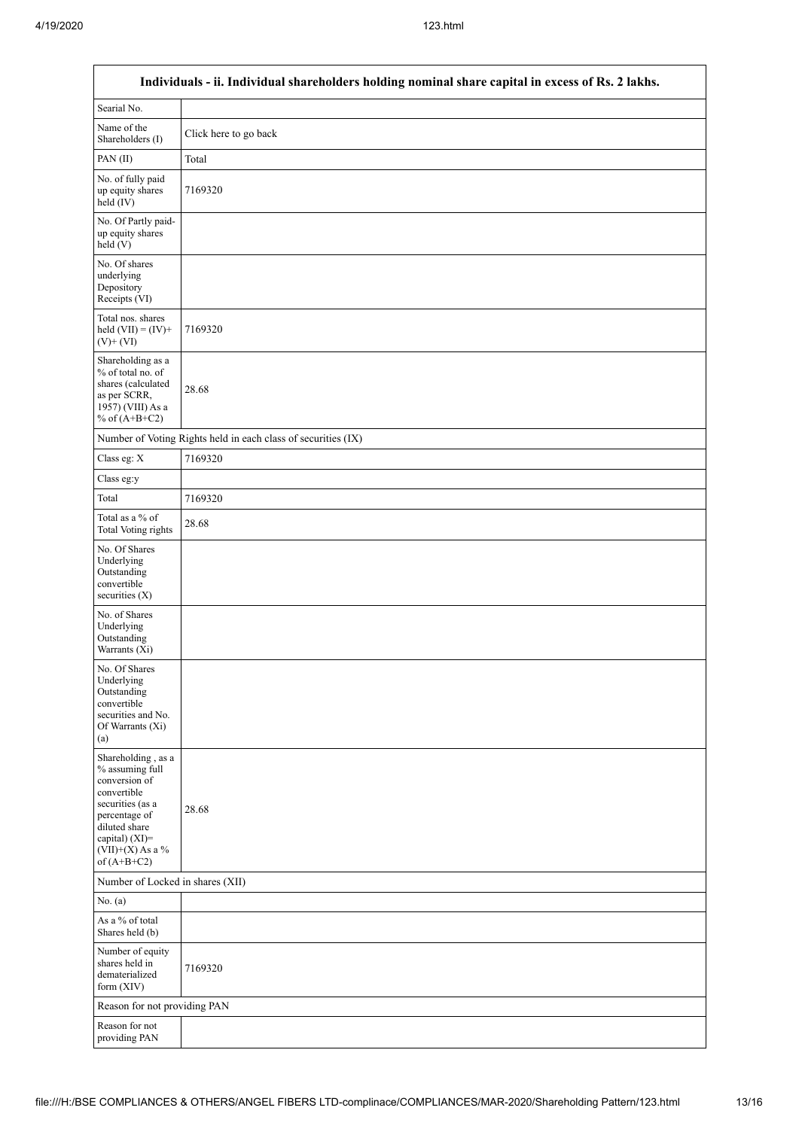$\mathsf{r}$ 

| Individuals - ii. Individual shareholders holding nominal share capital in excess of Rs. 2 lakhs.                                                                                     |                                                               |  |  |  |  |  |
|---------------------------------------------------------------------------------------------------------------------------------------------------------------------------------------|---------------------------------------------------------------|--|--|--|--|--|
| Searial No.                                                                                                                                                                           |                                                               |  |  |  |  |  |
| Name of the<br>Shareholders (I)                                                                                                                                                       | Click here to go back                                         |  |  |  |  |  |
| PAN(II)                                                                                                                                                                               | Total                                                         |  |  |  |  |  |
| No. of fully paid<br>up equity shares<br>held (IV)                                                                                                                                    | 7169320                                                       |  |  |  |  |  |
| No. Of Partly paid-<br>up equity shares<br>$\text{held}(V)$                                                                                                                           |                                                               |  |  |  |  |  |
| No. Of shares<br>underlying<br>Depository<br>Receipts (VI)                                                                                                                            |                                                               |  |  |  |  |  |
| Total nos. shares<br>held $(VII) = (IV) +$<br>$(V)$ + $(VI)$                                                                                                                          | 7169320                                                       |  |  |  |  |  |
| Shareholding as a<br>% of total no. of<br>shares (calculated<br>as per SCRR,<br>1957) (VIII) As a<br>% of $(A+B+C2)$                                                                  | 28.68                                                         |  |  |  |  |  |
|                                                                                                                                                                                       | Number of Voting Rights held in each class of securities (IX) |  |  |  |  |  |
| Class eg: X                                                                                                                                                                           | 7169320                                                       |  |  |  |  |  |
| Class eg:y                                                                                                                                                                            |                                                               |  |  |  |  |  |
| Total                                                                                                                                                                                 | 7169320                                                       |  |  |  |  |  |
| Total as a % of<br><b>Total Voting rights</b>                                                                                                                                         | 28.68                                                         |  |  |  |  |  |
| No. Of Shares<br>Underlying<br>Outstanding<br>convertible<br>securities (X)                                                                                                           |                                                               |  |  |  |  |  |
| No. of Shares<br>Underlying<br>Outstanding<br>Warrants (Xi)                                                                                                                           |                                                               |  |  |  |  |  |
| No. Of Shares<br>Underlying<br>Outstanding<br>convertible<br>securities and No.<br>Of Warrants (Xi)<br>(a)                                                                            |                                                               |  |  |  |  |  |
| Shareholding , as a<br>% assuming full<br>conversion of<br>convertible<br>securities (as a<br>percentage of<br>diluted share<br>capital) (XI)=<br>$(VII)+(X)$ As a %<br>of $(A+B+C2)$ | 28.68                                                         |  |  |  |  |  |
| Number of Locked in shares (XII)                                                                                                                                                      |                                                               |  |  |  |  |  |
| No. (a)                                                                                                                                                                               |                                                               |  |  |  |  |  |
| As a % of total<br>Shares held (b)                                                                                                                                                    |                                                               |  |  |  |  |  |
| Number of equity<br>shares held in<br>dematerialized<br>form (XIV)                                                                                                                    | 7169320                                                       |  |  |  |  |  |
| Reason for not providing PAN                                                                                                                                                          |                                                               |  |  |  |  |  |
| Reason for not<br>providing PAN                                                                                                                                                       |                                                               |  |  |  |  |  |

 $\overline{\phantom{a}}$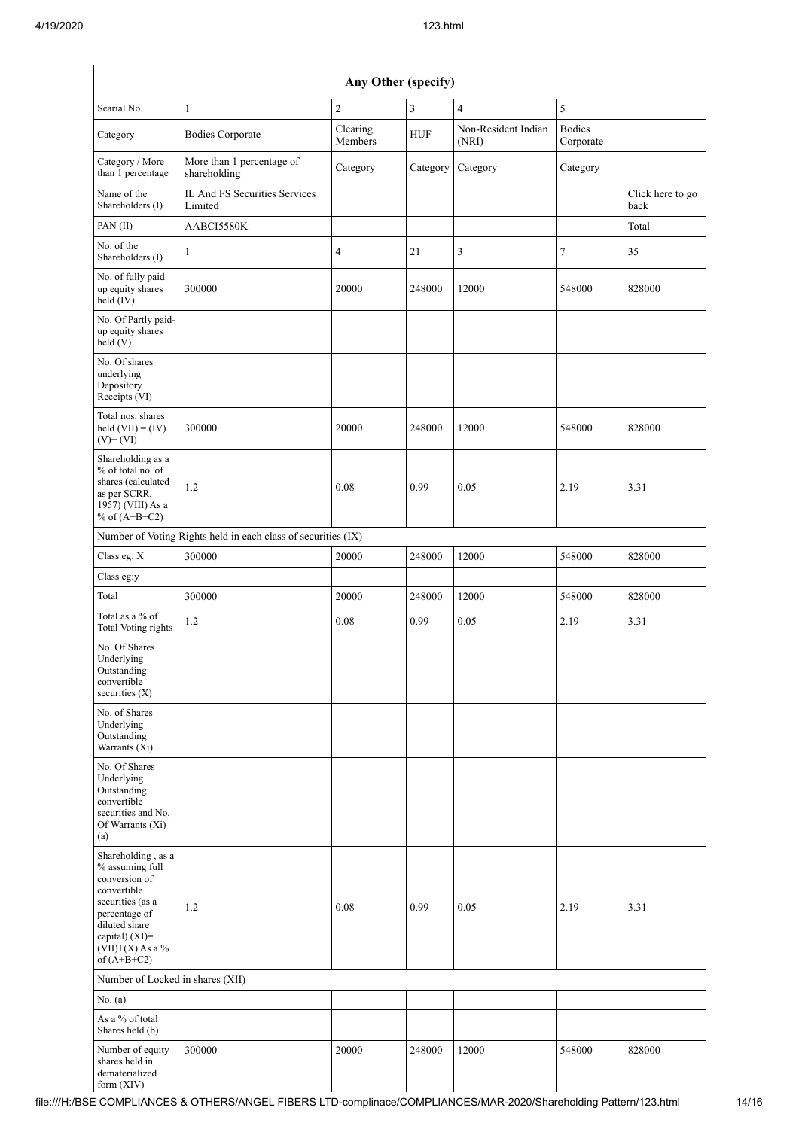| Any Other (specify)                                                                                                                                                                  |                                                               |                     |            |                              |                            |                          |  |  |  |  |
|--------------------------------------------------------------------------------------------------------------------------------------------------------------------------------------|---------------------------------------------------------------|---------------------|------------|------------------------------|----------------------------|--------------------------|--|--|--|--|
| Searial No.                                                                                                                                                                          | $\mathbf{1}$                                                  | $\overline{2}$      | 3          | $\overline{4}$               | 5                          |                          |  |  |  |  |
| Category                                                                                                                                                                             | <b>Bodies Corporate</b>                                       | Clearing<br>Members | <b>HUF</b> | Non-Resident Indian<br>(NRI) | <b>Bodies</b><br>Corporate |                          |  |  |  |  |
| Category / More<br>than 1 percentage                                                                                                                                                 | More than 1 percentage of<br>shareholding                     | Category            | Category   | Category                     | Category                   |                          |  |  |  |  |
| Name of the<br>Shareholders (I)                                                                                                                                                      | IL And FS Securities Services<br>Limited                      |                     |            |                              |                            | Click here to go<br>back |  |  |  |  |
| PAN (II)                                                                                                                                                                             | AABCI5580K                                                    |                     |            |                              |                            | Total                    |  |  |  |  |
| No. of the<br>Shareholders (I)                                                                                                                                                       | 1                                                             | 4                   | 21         | 3                            | $\tau$                     | 35                       |  |  |  |  |
| No. of fully paid<br>up equity shares<br>held (IV)                                                                                                                                   | 300000                                                        | 20000               | 248000     | 12000                        | 548000                     | 828000                   |  |  |  |  |
| No. Of Partly paid-<br>up equity shares<br>held(V)                                                                                                                                   |                                                               |                     |            |                              |                            |                          |  |  |  |  |
| No. Of shares<br>underlying<br>Depository<br>Receipts (VI)                                                                                                                           |                                                               |                     |            |                              |                            |                          |  |  |  |  |
| Total nos. shares<br>held $(VII) = (IV) +$<br>$(V)$ + $(VI)$                                                                                                                         | 300000                                                        | 20000               | 248000     | 12000                        | 548000                     | 828000                   |  |  |  |  |
| Shareholding as a<br>% of total no. of<br>shares (calculated<br>as per SCRR,<br>1957) (VIII) As a<br>% of $(A+B+C2)$                                                                 | 1.2                                                           | 0.08                | 0.99       | 0.05                         | 2.19                       | 3.31                     |  |  |  |  |
|                                                                                                                                                                                      | Number of Voting Rights held in each class of securities (IX) |                     |            |                              |                            |                          |  |  |  |  |
| Class eg: X                                                                                                                                                                          | 300000                                                        | 20000               | 248000     | 12000                        | 548000                     | 828000                   |  |  |  |  |
| Class eg:y                                                                                                                                                                           |                                                               |                     |            |                              |                            |                          |  |  |  |  |
| Total                                                                                                                                                                                | 300000                                                        | 20000               | 248000     | 12000                        | 548000                     | 828000                   |  |  |  |  |
| Total as a % of<br><b>Total Voting rights</b>                                                                                                                                        | 1.2                                                           | 0.08                | 0.99       | 0.05                         | 2.19                       | 3.31                     |  |  |  |  |
| No. Of Shares<br>Underlying<br>Outstanding<br>convertible<br>securities (X)                                                                                                          |                                                               |                     |            |                              |                            |                          |  |  |  |  |
| No. of Shares<br>Underlying<br>Outstanding<br>Warrants (Xi)                                                                                                                          |                                                               |                     |            |                              |                            |                          |  |  |  |  |
| No. Of Shares<br>Underlying<br>Outstanding<br>convertible<br>securities and No.<br>Of Warrants (Xi)<br>(a)                                                                           |                                                               |                     |            |                              |                            |                          |  |  |  |  |
| Shareholding, as a<br>% assuming full<br>conversion of<br>convertible<br>securities (as a<br>percentage of<br>diluted share<br>capital) (XI)=<br>$(VII)+(X)$ As a %<br>of $(A+B+C2)$ | 1.2                                                           | 0.08                | 0.99       | 0.05                         | 2.19                       | 3.31                     |  |  |  |  |
| Number of Locked in shares (XII)                                                                                                                                                     |                                                               |                     |            |                              |                            |                          |  |  |  |  |
| No. (a)<br>As a % of total                                                                                                                                                           |                                                               |                     |            |                              |                            |                          |  |  |  |  |
| Shares held (b)                                                                                                                                                                      |                                                               |                     |            |                              |                            |                          |  |  |  |  |
| Number of equity<br>shares held in<br>dematerialized<br>form (XIV)                                                                                                                   | 300000                                                        | 20000               | 248000     | 12000                        | 548000                     | 828000                   |  |  |  |  |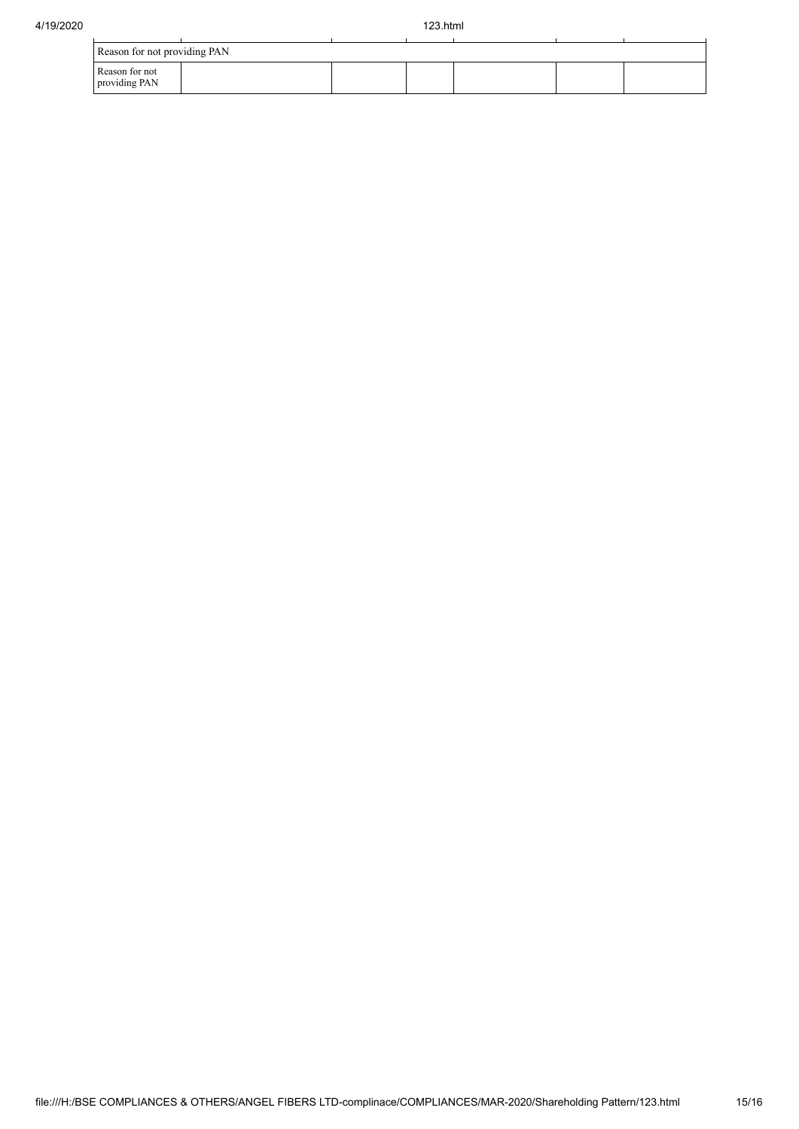| Reason for not providing PAN    |  |  |  |  |  |  |  |  |
|---------------------------------|--|--|--|--|--|--|--|--|
| Reason for not<br>providing PAN |  |  |  |  |  |  |  |  |